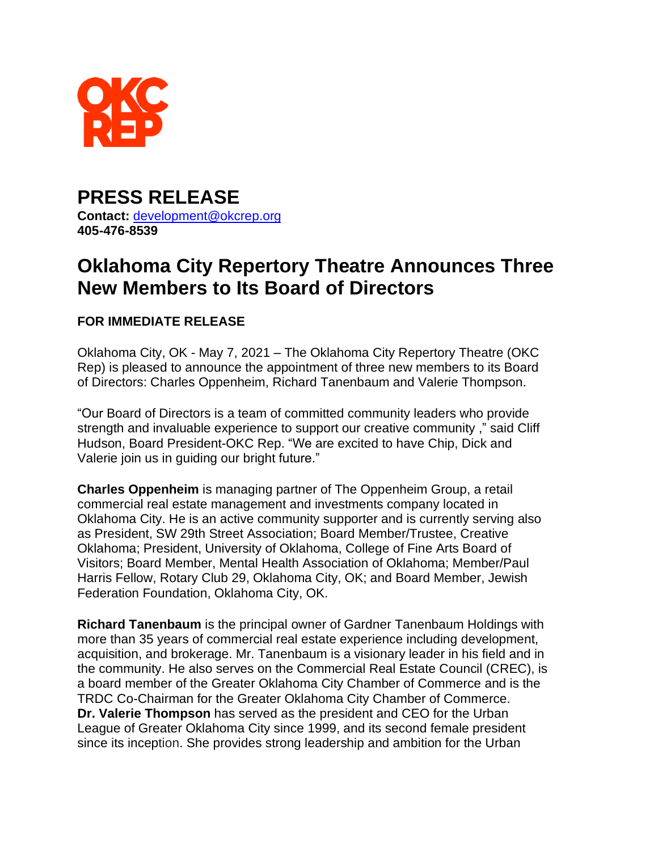

## **PRESS RELEASE Contact:** [development@okcrep.org](mailto:development@okcrep.org%20m) **405-476-8539**

## **Oklahoma City Repertory Theatre Announces Three New Members to Its Board of Directors**

## **FOR IMMEDIATE RELEASE**

Oklahoma City, OK - May 7, 2021 – The Oklahoma City Repertory Theatre (OKC Rep) is pleased to announce the appointment of three new members to its Board of Directors: Charles Oppenheim, Richard Tanenbaum and Valerie Thompson.

"Our Board of Directors is a team of committed community leaders who provide strength and invaluable experience to support our creative community ," said Cliff Hudson, Board President-OKC Rep. "We are excited to have Chip, Dick and Valerie join us in guiding our bright future."

**Charles Oppenheim** is managing partner of The Oppenheim Group, a retail commercial real estate management and investments company located in Oklahoma City. He is an active community supporter and is currently serving also as President, SW 29th Street Association; Board Member/Trustee, Creative Oklahoma; President, University of Oklahoma, College of Fine Arts Board of Visitors; Board Member, Mental Health Association of Oklahoma; Member/Paul Harris Fellow, Rotary Club 29, Oklahoma City, OK; and Board Member, Jewish Federation Foundation, Oklahoma City, OK.

**Richard Tanenbaum** is the principal owner of Gardner Tanenbaum Holdings with more than 35 years of commercial real estate experience including development, acquisition, and brokerage. Mr. Tanenbaum is a visionary leader in his field and in the community. He also serves on the Commercial Real Estate Council (CREC), is a board member of the Greater Oklahoma City Chamber of Commerce and is the TRDC Co-Chairman for the Greater Oklahoma City Chamber of Commerce. **Dr. Valerie Thompson** has served as the president and CEO for the Urban League of Greater Oklahoma City since 1999, and its second female president since its inception. She provides strong leadership and ambition for the Urban